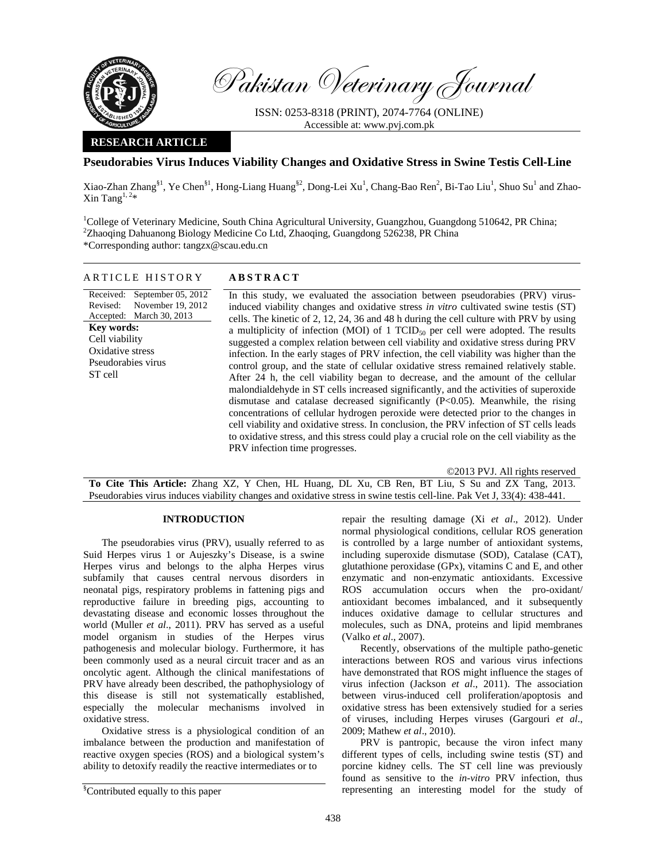

Pakistan Veterinary Journal

ISSN: 0253-8318 (PRINT), 2074-7764 (ONLINE) Accessible at: www.pvj.com.pk

#### **RESEARCH ARTICLE**

# **Pseudorabies Virus Induces Viability Changes and Oxidative Stress in Swine Testis Cell-Line**

Xiao-Zhan Zhang<sup>§1</sup>, Ye Chen<sup>§1</sup>, Hong-Liang Huang<sup>§2</sup>, Dong-Lei Xu<sup>1</sup>, Chang-Bao Ren<sup>2</sup>, Bi-Tao Liu<sup>1</sup>, Shuo Su<sup>1</sup> and Zhao-Xin Tang $^{1,2*}$ 

<sup>1</sup>College of Veterinary Medicine, South China Agricultural University, Guangzhou, Guangdong 510642, PR China; 2 Zhaoqing Dahuanong Biology Medicine Co Ltd, Zhaoqing, Guangdong 526238, PR China \*Corresponding author: tangzx@scau.edu.cn

## ARTICLE HISTORY **ABSTRACT**

Received: September 05, 2012 Revised: Accepted: March 30, 2013 November 19, 2012 **Key words:**  Cell viability Oxidative stress Pseudorabies virus ST cell

 In this study, we evaluated the association between pseudorabies (PRV) virusinduced viability changes and oxidative stress *in vitro* cultivated swine testis (ST) cells. The kinetic of 2, 12, 24, 36 and 48 h during the cell culture with PRV by using a multiplicity of infection (MOI) of 1  $TCID_{50}$  per cell were adopted. The results suggested a complex relation between cell viability and oxidative stress during PRV infection. In the early stages of PRV infection, the cell viability was higher than the control group, and the state of cellular oxidative stress remained relatively stable. After 24 h, the cell viability began to decrease, and the amount of the cellular malondialdehyde in ST cells increased significantly, and the activities of superoxide dismutase and catalase decreased significantly (P<0.05). Meanwhile, the rising concentrations of cellular hydrogen peroxide were detected prior to the changes in cell viability and oxidative stress. In conclusion, the PRV infection of ST cells leads to oxidative stress, and this stress could play a crucial role on the cell viability as the PRV infection time progresses.

©2013 PVJ. All rights reserved

**To Cite This Article:** Zhang XZ, Y Chen, HL Huang, DL Xu, CB Ren, BT Liu, S Su and ZX Tang, 2013. Pseudorabies virus induces viability changes and oxidative stress in swine testis cell-line. Pak Vet J, 33(4): 438-441.

## **INTRODUCTION**

The pseudorabies virus (PRV), usually referred to as Suid Herpes virus 1 or Aujeszky's Disease, is a swine Herpes virus and belongs to the alpha Herpes virus subfamily that causes central nervous disorders in neonatal pigs, respiratory problems in fattening pigs and reproductive failure in breeding pigs, accounting to devastating disease and economic losses throughout the world (Muller *et al*., 2011). PRV has served as a useful model organism in studies of the Herpes virus pathogenesis and molecular biology. Furthermore, it has been commonly used as a neural circuit tracer and as an oncolytic agent. Although the clinical manifestations of PRV have already been described, the pathophysiology of this disease is still not systematically established, especially the molecular mechanisms involved in oxidative stress.

Oxidative stress is a physiological condition of an imbalance between the production and manifestation of reactive oxygen species (ROS) and a biological system's ability to detoxify readily the reactive intermediates or to

Recently, observations of the multiple patho-genetic interactions between ROS and various virus infections have demonstrated that ROS might influence the stages of virus infection (Jackson *et al*., 2011). The association between virus-induced cell proliferation/apoptosis and oxidative stress has been extensively studied for a series of viruses, including Herpes viruses (Gargouri *et al*., 2009; Mathew *et al*., 2010).

PRV is pantropic, because the viron infect many different types of cells, including swine testis (ST) and porcine kidney cells. The ST cell line was previously found as sensitive to the *in-vitro* PRV infection, thus representing an interesting model for the study of

repair the resulting damage (Xi *et al*., 2012). Under normal physiological conditions, cellular ROS generation is controlled by a large number of antioxidant systems, including superoxide dismutase (SOD), Catalase (CAT), glutathione peroxidase (GPx), vitamins C and E, and other enzymatic and non-enzymatic antioxidants. Excessive ROS accumulation occurs when the pro-oxidant/ antioxidant becomes imbalanced, and it subsequently induces oxidative damage to cellular structures and molecules, such as DNA, proteins and lipid membranes (Valko *et al*., 2007).

<sup>§</sup> Contributed equally to this paper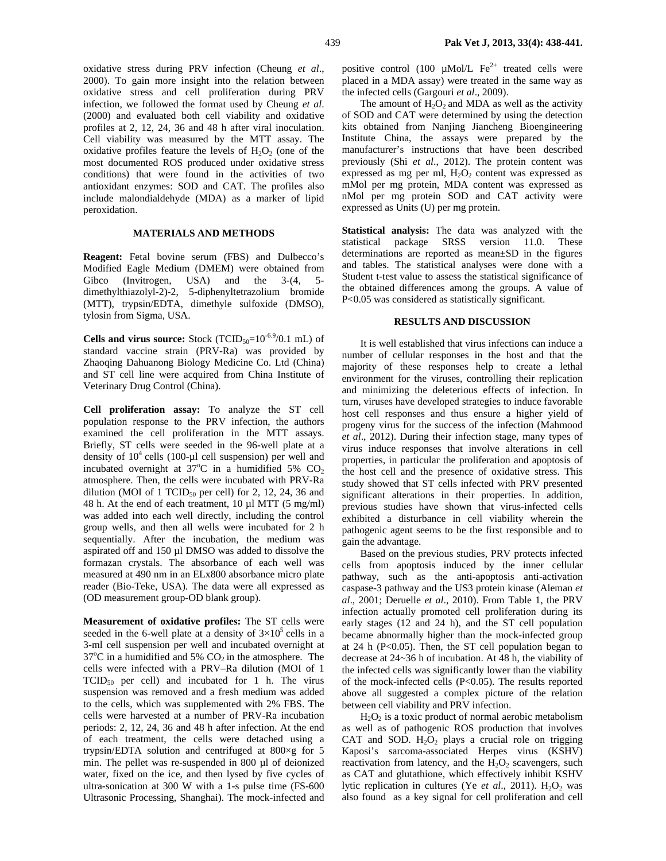oxidative stress during PRV infection (Cheung *et al*., 2000). To gain more insight into the relation between oxidative stress and cell proliferation during PRV infection, we followed the format used by Cheung *et al*. (2000) and evaluated both cell viability and oxidative profiles at 2, 12, 24, 36 and 48 h after viral inoculation. Cell viability was measured by the MTT assay. The oxidative profiles feature the levels of  $H_2O_2$  (one of the most documented ROS produced under oxidative stress conditions) that were found in the activities of two antioxidant enzymes: SOD and CAT. The profiles also include malondialdehyde (MDA) as a marker of lipid peroxidation.

## **MATERIALS AND METHODS**

**Reagent:** Fetal bovine serum (FBS) and Dulbecco's Modified Eagle Medium (DMEM) were obtained from Gibco (Invitrogen, USA) and the 3-(4, 5 dimethylthiazolyl-2)-2, 5-diphenyltetrazolium bromide (MTT), trypsin/EDTA, dimethyle sulfoxide (DMSO), tylosin from Sigma, USA.

**Cells and virus source:** Stock (TCID<sub>50</sub>=10<sup>-6.9</sup>/0.1 mL) of standard vaccine strain (PRV-Ra) was provided by Zhaoqing Dahuanong Biology Medicine Co. Ltd (China) and ST cell line were acquired from China Institute of Veterinary Drug Control (China).

**Cell proliferation assay:** To analyze the ST cell population response to the PRV infection, the authors examined the cell proliferation in the MTT assays. Briefly, ST cells were seeded in the 96-well plate at a density of  $10^4$  cells (100-µl cell suspension) per well and incubated overnight at  $37^{\circ}$ C in a humidified 5% CO<sub>2</sub> atmosphere. Then, the cells were incubated with PRV-Ra dilution (MOI of 1 TCID $_{50}$  per cell) for 2, 12, 24, 36 and 48 h. At the end of each treatment, 10 µl MTT (5 mg/ml) was added into each well directly, including the control group wells, and then all wells were incubated for 2 h sequentially. After the incubation, the medium was aspirated off and 150 µl DMSO was added to dissolve the formazan crystals. The absorbance of each well was measured at 490 nm in an ELx800 absorbance micro plate reader (Bio-Teke, USA). The data were all expressed as (OD measurement group-OD blank group).

**Measurement of oxidative profiles:** The ST cells were seeded in the 6-well plate at a density of  $3\times10^5$  cells in a 3-ml cell suspension per well and incubated overnight at 37 $\rm{°C}$  in a humidified and 5%  $\rm{CO}_2$  in the atmosphere. The cells were infected with a PRV–Ra dilution (MOI of 1  $TCID_{50}$  per cell) and incubated for 1 h. The virus suspension was removed and a fresh medium was added to the cells, which was supplemented with 2% FBS. The cells were harvested at a number of PRV-Ra incubation periods: 2, 12, 24, 36 and 48 h after infection. At the end of each treatment, the cells were detached using a trypsin/EDTA solution and centrifuged at 800×g for 5 min. The pellet was re-suspended in 800 µl of deionized water, fixed on the ice, and then lysed by five cycles of ultra-sonication at 300 W with a 1-s pulse time (FS-600 Ultrasonic Processing, Shanghai). The mock-infected and

positive control (100  $\mu$ Mol/L Fe<sup>2+</sup> treated cells were placed in a MDA assay) were treated in the same way as the infected cells (Gargouri *et al*., 2009).

The amount of  $H_2O_2$  and MDA as well as the activity of SOD and CAT were determined by using the detection kits obtained from Nanjing Jiancheng Bioengineering Institute China, the assays were prepared by the manufacturer's instructions that have been described previously (Shi *et al*., 2012). The protein content was expressed as mg per ml,  $H_2O_2$  content was expressed as mMol per mg protein, MDA content was expressed as nMol per mg protein SOD and CAT activity were expressed as Units (U) per mg protein.

**Statistical analysis:** The data was analyzed with the statistical package SRSS version 11.0. These determinations are reported as mean±SD in the figures and tables. The statistical analyses were done with a Student t-test value to assess the statistical significance of the obtained differences among the groups. A value of P<0.05 was considered as statistically significant.

#### **RESULTS AND DISCUSSION**

It is well established that virus infections can induce a number of cellular responses in the host and that the majority of these responses help to create a lethal environment for the viruses, controlling their replication and minimizing the deleterious effects of infection. In turn, viruses have developed strategies to induce favorable host cell responses and thus ensure a higher yield of progeny virus for the success of the infection (Mahmood *et al*., 2012). During their infection stage, many types of virus induce responses that involve alterations in cell properties, in particular the proliferation and apoptosis of the host cell and the presence of oxidative stress. This study showed that ST cells infected with PRV presented significant alterations in their properties. In addition, previous studies have shown that virus-infected cells exhibited a disturbance in cell viability wherein the pathogenic agent seems to be the first responsible and to gain the advantage.

Based on the previous studies, PRV protects infected cells from apoptosis induced by the inner cellular pathway, such as the anti-apoptosis anti-activation caspase-3 pathway and the US3 protein kinase (Aleman *et al*., 2001; Deruelle *et al*., 2010). From Table 1, the PRV infection actually promoted cell proliferation during its early stages (12 and 24 h), and the ST cell population became abnormally higher than the mock-infected group at 24 h ( $P<0.05$ ). Then, the ST cell population began to decrease at 24~36 h of incubation. At 48 h, the viability of the infected cells was significantly lower than the viability of the mock-infected cells (P<0.05). The results reported above all suggested a complex picture of the relation between cell viability and PRV infection.

 $H<sub>2</sub>O<sub>2</sub>$  is a toxic product of normal aerobic metabolism as well as of pathogenic ROS production that involves CAT and SOD.  $H_2O_2$  plays a crucial role on trigging Kaposi's sarcoma-associated Herpes virus (KSHV) reactivation from latency, and the  $H_2O_2$  scavengers, such as CAT and glutathione, which effectively inhibit KSHV lytic replication in cultures (Ye *et al.*, 2011).  $H_2O_2$  was also found as a key signal for cell proliferation and cell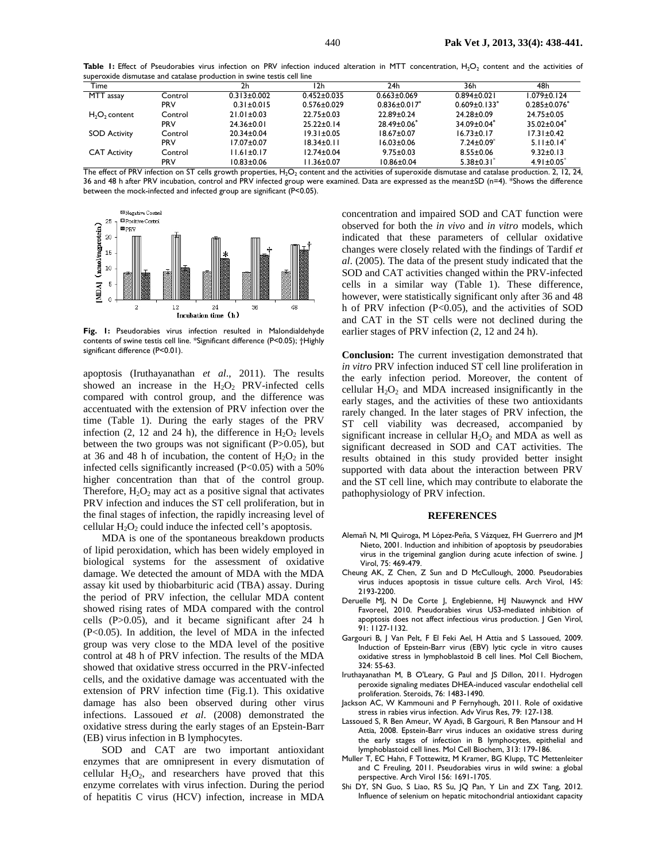Table 1: Effect of Pseudorabies virus infection on PRV infection induced alteration in MTT concentration, H<sub>2</sub>O<sub>2</sub> content and the activities of superoxide dismutase and catalase production in swine testis cell line

| Time                |            | 2h                | l 2h              | 24h                 | 36h                            | 48h                |
|---------------------|------------|-------------------|-------------------|---------------------|--------------------------------|--------------------|
| MTT assay           | Control    | $0.313 \pm 0.002$ | $0.452 \pm 0.035$ | $0.663 \pm 0.069$   | $0.894 \pm 0.021$              | $1.079 \pm 0.124$  |
|                     | <b>PRV</b> | $0.31 \pm 0.015$  | $0.576 \pm 0.029$ | $0.836 \pm 0.017$ * | $0.609 \pm 0.133$ <sup>*</sup> | $0.285 \pm 0.076$  |
| $H_2O_2$ content    | Control    | $21.01 \pm 0.03$  | $22.75 \pm 0.03$  | 22.89±0.24          | 24.28±0.09                     | 24.75±0.05         |
|                     | <b>PRV</b> | $24.36 \pm 0.01$  | $25.22 \pm 0.14$  | $28.49 \pm 0.06^*$  | $34.09 \pm 0.04^*$             | $35.02 \pm 0.04^*$ |
| <b>SOD Activity</b> | Control    | $20.34 \pm 0.04$  | $19.31 \pm 0.05$  | $18.67 \pm 0.07$    | $16.73 \pm 0.17$               | $17.31 \pm 0.42$   |
|                     | <b>PRV</b> | $17.07 \pm 0.07$  | $18.34 \pm 0.11$  | $16.03 \pm 0.06$    | $7.24 \pm 0.09$                | $5.11 \pm 0.14^*$  |
| <b>CAT Activity</b> | Control    | $11.61 \pm 0.17$  | $12.74 \pm 0.04$  | $9.75 \pm 0.03$     | $8.55 \pm 0.06$                | $9.32 \pm 0.13$    |
|                     | <b>PRV</b> | $10.83 \pm 0.06$  | $11.36 \pm 0.07$  | $10.86 \pm 0.04$    | $5.38 \pm 0.31^*$              | $4.91 \pm 0.05^*$  |

The effect of PRV infection on ST cells growth properties,  $H_2O_2$  content and the activities of superoxide dismutase and catalase production. 2, 12, 24, 36 and 48 h after PRV incubation, control and PRV infected group were examined. Data are expressed as the mean±SD (n=4). \*Shows the difference between the mock-infected and infected group are significant (P<0.05).



**Fig. 1:** Pseudorabies virus infection resulted in Malondialdehyde contents of swine testis cell line. \*Significant difference (P<0.05); †Highly significant difference (P<0.01).

apoptosis (Iruthayanathan *et al*., 2011). The results showed an increase in the  $H_2O_2$  PRV-infected cells compared with control group, and the difference was accentuated with the extension of PRV infection over the time (Table 1). During the early stages of the PRV infection  $(2, 12, 24)$  h), the difference in  $H_2O_2$  levels between the two groups was not significant  $(P>0.05)$ , but at 36 and 48 h of incubation, the content of  $H_2O_2$  in the infected cells significantly increased  $(P<0.05)$  with a 50% higher concentration than that of the control group. Therefore,  $H_2O_2$  may act as a positive signal that activates PRV infection and induces the ST cell proliferation, but in the final stages of infection, the rapidly increasing level of cellular  $H_2O_2$  could induce the infected cell's apoptosis.

MDA is one of the spontaneous breakdown products of lipid peroxidation, which has been widely employed in biological systems for the assessment of oxidative damage. We detected the amount of MDA with the MDA assay kit used by thiobarbituric acid (TBA) assay. During the period of PRV infection, the cellular MDA content showed rising rates of MDA compared with the control cells (P>0.05), and it became significant after 24 h (P<0.05). In addition, the level of MDA in the infected group was very close to the MDA level of the positive control at 48 h of PRV infection. The results of the MDA showed that oxidative stress occurred in the PRV-infected cells, and the oxidative damage was accentuated with the extension of PRV infection time (Fig.1). This oxidative damage has also been observed during other virus infections. Lassoued *et al*. (2008) demonstrated the oxidative stress during the early stages of an Epstein-Barr (EB) virus infection in B lymphocytes.

SOD and CAT are two important antioxidant enzymes that are omnipresent in every dismutation of cellular  $H_2O_2$ , and researchers have proved that this enzyme correlates with virus infection. During the period of hepatitis C virus (HCV) infection, increase in MDA concentration and impaired SOD and CAT function were observed for both the *in vivo* and *in vitro* models, which indicated that these parameters of cellular oxidative changes were closely related with the findings of Tardif *et al*. (2005). The data of the present study indicated that the SOD and CAT activities changed within the PRV-infected cells in a similar way (Table 1). These difference, however, were statistically significant only after 36 and 48 h of PRV infection (P<0.05), and the activities of SOD and CAT in the ST cells were not declined during the earlier stages of PRV infection (2, 12 and 24 h).

**Conclusion:** The current investigation demonstrated that *in vitro* PRV infection induced ST cell line proliferation in the early infection period. Moreover, the content of cellular  $H_2O_2$  and MDA increased insignificantly in the early stages, and the activities of these two antioxidants rarely changed. In the later stages of PRV infection, the ST cell viability was decreased, accompanied by significant increase in cellular  $H_2O_2$  and MDA as well as significant decreased in SOD and CAT activities. The results obtained in this study provided better insight supported with data about the interaction between PRV and the ST cell line, which may contribute to elaborate the pathophysiology of PRV infection.

#### **REFERENCES**

- Alemañ N, MI Quiroga, M López-Peña, S Vázquez, FH Guerrero and JM Nieto, 2001. Induction and inhibition of apoptosis by pseudorabies virus in the trigeminal ganglion during acute infection of swine. J Virol, 75: 469-479.
- Cheung AK, Z Chen, Z Sun and D McCullough, 2000. Pseudorabies virus induces apoptosis in tissue culture cells. Arch Virol, 145: 2193-2200.
- Deruelle MJ, N De Corte J, Englebienne, HJ Nauwynck and HW Favoreel, 2010. Pseudorabies virus US3-mediated inhibition of apoptosis does not affect infectious virus production. J Gen Virol, 91: 1127-1132.
- Gargouri B, J Van Pelt, F El Feki Ael, H Attia and S Lassoued, 2009. Induction of Epstein-Barr virus (EBV) lytic cycle in vitro causes oxidative stress in lymphoblastoid B cell lines. Mol Cell Biochem, 324: 55-63.
- Iruthayanathan M, B O'Leary, G Paul and JS Dillon, 2011. Hydrogen peroxide signaling mediates DHEA-induced vascular endothelial cell proliferation. Steroids, 76: 1483-1490.
- Jackson AC, W Kammouni and P Fernyhough, 2011. Role of oxidative stress in rabies virus infection. Adv Virus Res, 79: 127-138.
- Lassoued S, R Ben Ameur, W Ayadi, B Gargouri, R Ben Mansour and H Attia, 2008. Epstein-Barr virus induces an oxidative stress during the early stages of infection in B lymphocytes, epithelial and lymphoblastoid cell lines. Mol Cell Biochem, 313: 179-186.
- Muller T, EC Hahn, F Tottewitz, M Kramer, BG Klupp, TC Mettenleiter and C Freuling, 2011. Pseudorabies virus in wild swine: a global perspective. Arch Virol 156: 1691-1705.
- Shi DY, SN Guo, S Liao, RS Su, JQ Pan, Y Lin and ZX Tang, 2012. Influence of selenium on hepatic mitochondrial antioxidant capacity